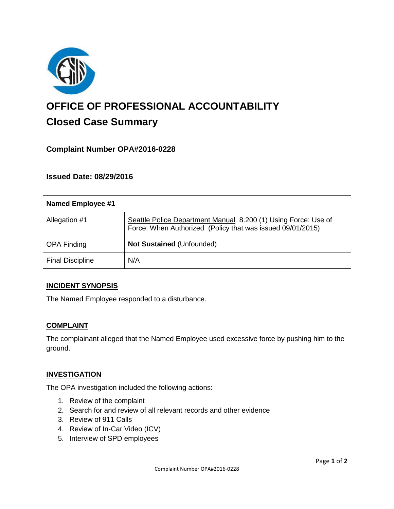

# **OFFICE OF PROFESSIONAL ACCOUNTABILITY Closed Case Summary**

# **Complaint Number OPA#2016-0228**

# **Issued Date: 08/29/2016**

| <b>Named Employee #1</b> |                                                                                                                              |
|--------------------------|------------------------------------------------------------------------------------------------------------------------------|
| Allegation #1            | Seattle Police Department Manual 8.200 (1) Using Force: Use of<br>Force: When Authorized (Policy that was issued 09/01/2015) |
| <b>OPA Finding</b>       | Not Sustained (Unfounded)                                                                                                    |
| <b>Final Discipline</b>  | N/A                                                                                                                          |

#### **INCIDENT SYNOPSIS**

The Named Employee responded to a disturbance.

#### **COMPLAINT**

The complainant alleged that the Named Employee used excessive force by pushing him to the ground.

#### **INVESTIGATION**

The OPA investigation included the following actions:

- 1. Review of the complaint
- 2. Search for and review of all relevant records and other evidence
- 3. Review of 911 Calls
- 4. Review of In-Car Video (ICV)
- 5. Interview of SPD employees